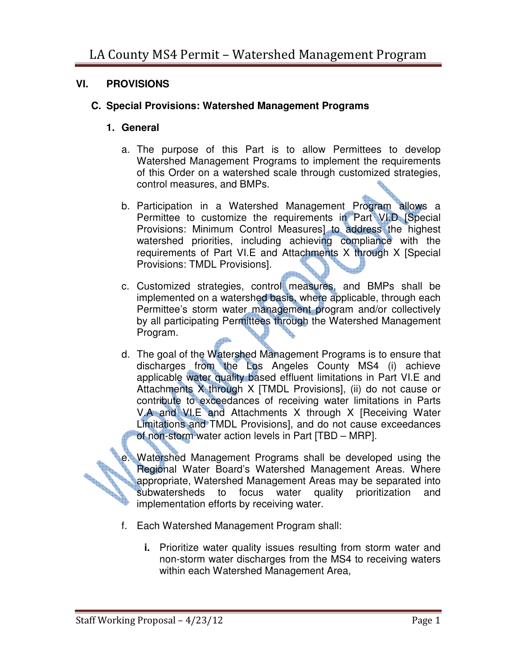### **VI. PROVISIONS**

### **C. Special Provisions: Watershed Management Programs**

#### **1. General**

- a. The purpose of this Part is to allow Permittees to develop Watershed Management Programs to implement the requirements of this Order on a watershed scale through customized strategies, control measures, and BMPs.
- b. Participation in a Watershed Management Program allows a Permittee to customize the requirements in Part VI.D [Special Provisions: Minimum Control Measures] to address the highest watershed priorities, including achieving compliance with the requirements of Part VI.E and Attachments X through X [Special Provisions: TMDL Provisions].
- c. Customized strategies, control measures, and BMPs shall be implemented on a watershed basis, where applicable, through each Permittee's storm water management program and/or collectively by all participating Permittees through the Watershed Management Program.
- d. The goal of the Watershed Management Programs is to ensure that discharges from the Los Angeles County MS4 (i) achieve applicable water quality based effluent limitations in Part VI.E and Attachments X through X [TMDL Provisions], (ii) do not cause or contribute to exceedances of receiving water limitations in Parts V.A and VI.E and Attachments X through X [Receiving Water Limitations and TMDL Provisions], and do not cause exceedances of non-storm water action levels in Part [TBD – MRP].

e. Watershed Management Programs shall be developed using the Regional Water Board's Watershed Management Areas. Where appropriate, Watershed Management Areas may be separated into subwatersheds to focus water quality prioritization and implementation efforts by receiving water.

- f. Each Watershed Management Program shall:
	- **i.** Prioritize water quality issues resulting from storm water and non-storm water discharges from the MS4 to receiving waters within each Watershed Management Area,

**Contract Contract Contract Contract Contract Contract Contract Contract Contract Contract Contract Contract Contract Contract Contract Contract Contract Contract Contract Contract Contract Contract Contract Contract Contr**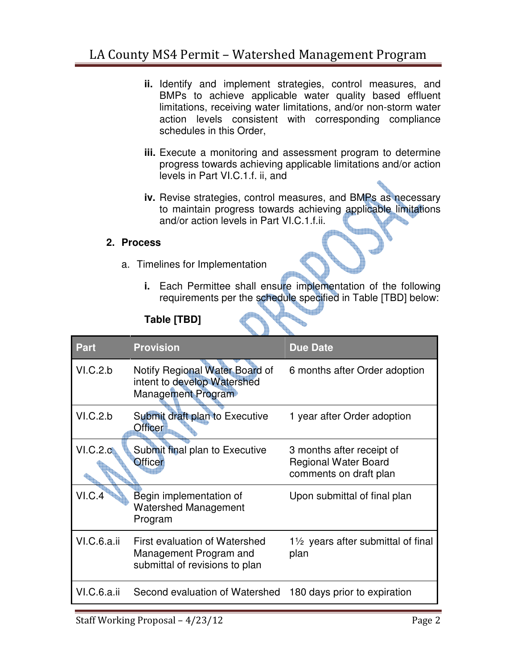- **ii.** Identify and implement strategies, control measures, and BMPs to achieve applicable water quality based effluent limitations, receiving water limitations, and/or non-storm water action levels consistent with corresponding compliance schedules in this Order,
- **iii.** Execute a monitoring and assessment program to determine progress towards achieving applicable limitations and/or action levels in Part VI.C.1.f. ii, and
- **iv.** Revise strategies, control measures, and BMPs as necessary to maintain progress towards achieving applicable limitations and/or action levels in Part VI.C.1.f.ii.

### **2. Process**

- a. Timelines for Implementation
	- **i.** Each Permittee shall ensure implementation of the following requirements per the schedule specified in Table [TBD] below:

## **Table [TBD]**

| <b>Part</b>        | <b>Provision</b>                                                                          | <b>Due Date</b>                                                                    |
|--------------------|-------------------------------------------------------------------------------------------|------------------------------------------------------------------------------------|
| VI.C.2.b           | Notify Regional Water Board of<br>intent to develop Watershed<br>Management Program       | 6 months after Order adoption                                                      |
| VI.C.2.b           | Submit draft plan to Executive<br><b>Officer</b>                                          | 1 year after Order adoption                                                        |
| VI.C.2.c           | Submit final plan to Executive<br>Officer                                                 | 3 months after receipt of<br><b>Regional Water Board</b><br>comments on draft plan |
| VI.C.4             | Begin implementation of<br><b>Watershed Management</b><br>Program                         | Upon submittal of final plan                                                       |
| VI.C.6.a.ii        | First evaluation of Watershed<br>Management Program and<br>submittal of revisions to plan | $1\frac{1}{2}$ years after submittal of final<br>plan                              |
| <b>VI.C.6.a.ii</b> | Second evaluation of Watershed                                                            | 180 days prior to expiration                                                       |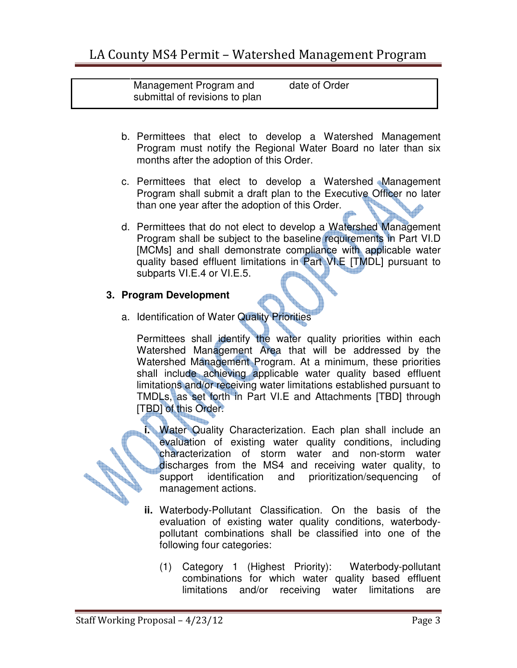| Management Program and         | date of Order |
|--------------------------------|---------------|
| submittal of revisions to plan |               |

- b. Permittees that elect to develop a Watershed Management Program must notify the Regional Water Board no later than six months after the adoption of this Order.
- c. Permittees that elect to develop a Watershed Management Program shall submit a draft plan to the Executive Officer no later than one year after the adoption of this Order.
- d. Permittees that do not elect to develop a Watershed Management Program shall be subject to the baseline requirements in Part VI.D [MCMs] and shall demonstrate compliance with applicable water quality based effluent limitations in Part VI.E [TMDL] pursuant to subparts VI.E.4 or VI.E.5.

#### **3. Program Development**

a. Identification of Water Quality Priorities

Permittees shall identify the water quality priorities within each Watershed Management Area that will be addressed by the Watershed Management Program. At a minimum, these priorities shall include achieving applicable water quality based effluent limitations and/or receiving water limitations established pursuant to TMDLs, as set forth in Part VI.E and Attachments [TBD] through [TBD] of this Order.

**i.** Water Quality Characterization. Each plan shall include an evaluation of existing water quality conditions, including characterization of storm water and non-storm water discharges from the MS4 and receiving water quality, to support identification and prioritization/sequencing of management actions.

- **ii.** Waterbody-Pollutant Classification. On the basis of the evaluation of existing water quality conditions, waterbodypollutant combinations shall be classified into one of the following four categories:
	- (1) Category 1 (Highest Priority): Waterbody-pollutant combinations for which water quality based effluent limitations and/or receiving water limitations are

**Contract Contract Contract Contract Contract Contract Contract Contract Contract Contract Contract Contract C**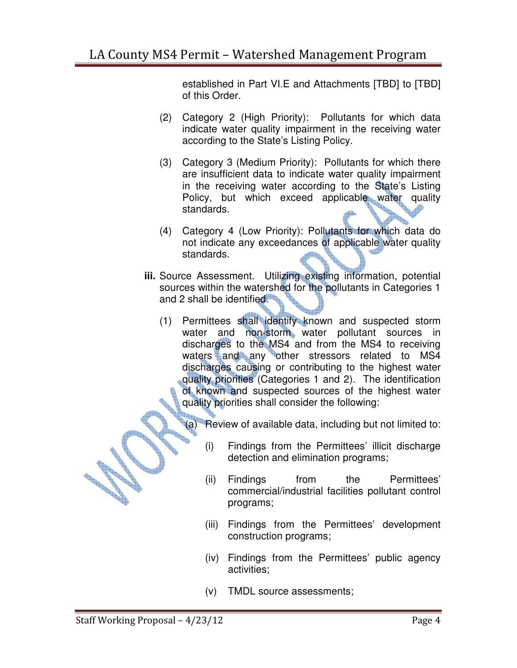established in Part VI.E and Attachments [TBD] to [TBD] of this Order.

- (2) Category 2 (High Priority): Pollutants for which data indicate water quality impairment in the receiving water according to the State's Listing Policy.
- (3) Category 3 (Medium Priority): Pollutants for which there are insufficient data to indicate water quality impairment in the receiving water according to the State's Listing Policy, but which exceed applicable water quality standards.
- (4) Category 4 (Low Priority): Pollutants for which data do not indicate any exceedances of applicable water quality standards.
- **iii.** Source Assessment. Utilizing existing information, potential sources within the watershed for the pollutants in Categories 1 and 2 shall be identified.
	- (1) Permittees shall identify known and suspected storm water and non-storm water pollutant sources in discharges to the MS4 and from the MS4 to receiving waters and any other stressors related to MS4 discharges causing or contributing to the highest water quality priorities (Categories 1 and 2). The identification of known and suspected sources of the highest water quality priorities shall consider the following:
		- (a) Review of available data, including but not limited to:
			- (i) Findings from the Permittees' illicit discharge detection and elimination programs;
			- (ii) Findings from the Permittees' commercial/industrial facilities pollutant control programs;
			- (iii) Findings from the Permittees' development construction programs;
			- (iv) Findings from the Permittees' public agency activities;
			- (v) TMDL source assessments;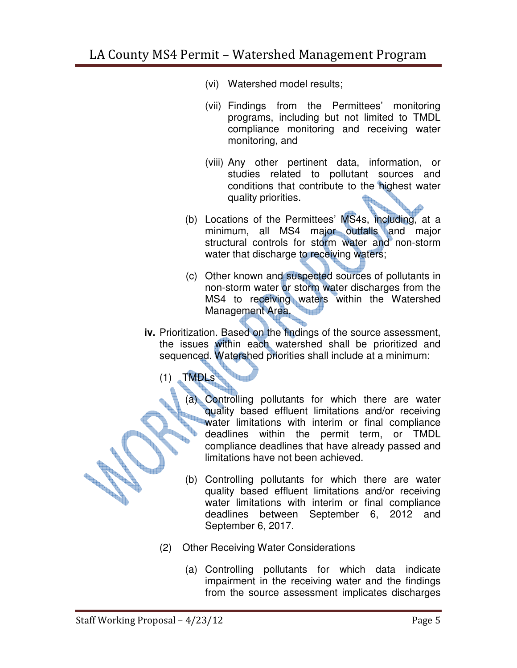- (vi) Watershed model results;
- (vii) Findings from the Permittees' monitoring programs, including but not limited to TMDL compliance monitoring and receiving water monitoring, and
- (viii) Any other pertinent data, information, or studies related to pollutant sources and conditions that contribute to the highest water quality priorities.
- (b) Locations of the Permittees' MS4s, including, at a minimum, all MS4 major outfalls and major structural controls for storm water and non-storm water that discharge to receiving waters;
- (c) Other known and suspected sources of pollutants in non-storm water or storm water discharges from the MS4 to receiving waters within the Watershed Management Area. ta d
- **iv.** Prioritization. Based on the findings of the source assessment, the issues within each watershed shall be prioritized and sequenced. Watershed priorities shall include at a minimum:

(1) TMDLs

(a) Controlling pollutants for which there are water quality based effluent limitations and/or receiving water limitations with interim or final compliance deadlines within the permit term, or TMDL compliance deadlines that have already passed and limitations have not been achieved.

- (b) Controlling pollutants for which there are water quality based effluent limitations and/or receiving water limitations with interim or final compliance deadlines between September 6, 2012 and September 6, 2017.
- (2) Other Receiving Water Considerations
	- (a) Controlling pollutants for which data indicate impairment in the receiving water and the findings from the source assessment implicates discharges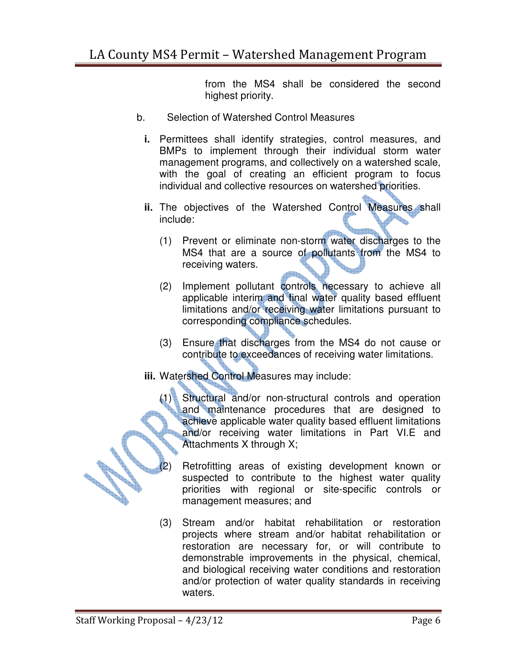from the MS4 shall be considered the second highest priority.

- b. Selection of Watershed Control Measures
	- **i.** Permittees shall identify strategies, control measures, and BMPs to implement through their individual storm water management programs, and collectively on a watershed scale, with the goal of creating an efficient program to focus individual and collective resources on watershed priorities.
	- **ii.** The objectives of the Watershed Control Measures shall include:
		- (1) Prevent or eliminate non-storm water discharges to the MS4 that are a source of pollutants from the MS4 to receiving waters.
		- (2) Implement pollutant controls necessary to achieve all applicable interim and final water quality based effluent limitations and/or receiving water limitations pursuant to corresponding compliance schedules.
		- (3) Ensure that discharges from the MS4 do not cause or contribute to exceedances of receiving water limitations.
	- **iii.** Watershed Control Measures may include:
		- Structural and/or non-structural controls and operation and maintenance procedures that are designed to achieve applicable water quality based effluent limitations and/or receiving water limitations in Part VI.E and Attachments X through X;
		- Retrofitting areas of existing development known or suspected to contribute to the highest water quality priorities with regional or site-specific controls or management measures; and
		- (3) Stream and/or habitat rehabilitation or restoration projects where stream and/or habitat rehabilitation or restoration are necessary for, or will contribute to demonstrable improvements in the physical, chemical, and biological receiving water conditions and restoration and/or protection of water quality standards in receiving waters.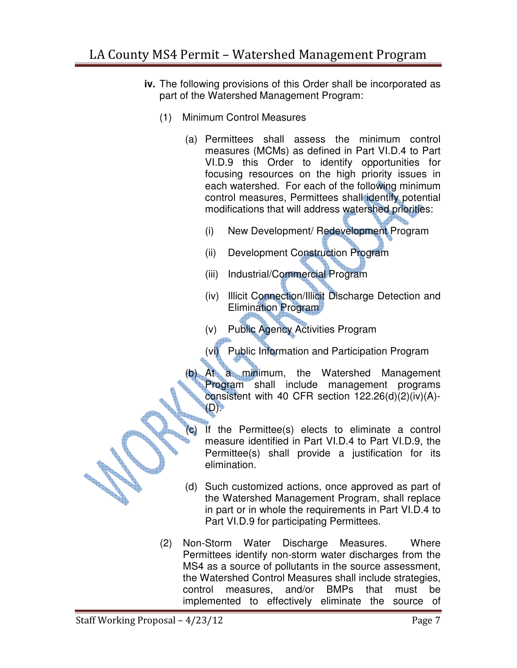- **iv.** The following provisions of this Order shall be incorporated as part of the Watershed Management Program:
	- (1) Minimum Control Measures
		- (a) Permittees shall assess the minimum control measures (MCMs) as defined in Part VI.D.4 to Part VI.D.9 this Order to identify opportunities for focusing resources on the high priority issues in each watershed. For each of the following minimum control measures, Permittees shall identify potential modifications that will address watershed priorities:
			- (i) New Development/ Redevelopment Program
			- (ii) Development Construction Program
			- (iii) Industrial/Commercial Program
			- (iv) Illicit Connection/Illicit Discharge Detection and Elimination Program
			- (v) Public Agency Activities Program
				- Public Information and Participation Program

a minimum, the Watershed Management Program shall include management programs consistent with 40 CFR section 122.26(d)(2)(iv)(A)- (D).

- If the Permittee(s) elects to eliminate a control measure identified in Part VI.D.4 to Part VI.D.9, the Permittee(s) shall provide a justification for its elimination.
- (d) Such customized actions, once approved as part of the Watershed Management Program, shall replace in part or in whole the requirements in Part VI.D.4 to Part VI.D.9 for participating Permittees.
- (2) Non-Storm Water Discharge Measures. Where Permittees identify non-storm water discharges from the MS4 as a source of pollutants in the source assessment, the Watershed Control Measures shall include strategies, control measures, and/or BMPs that must be implemented to effectively eliminate the source of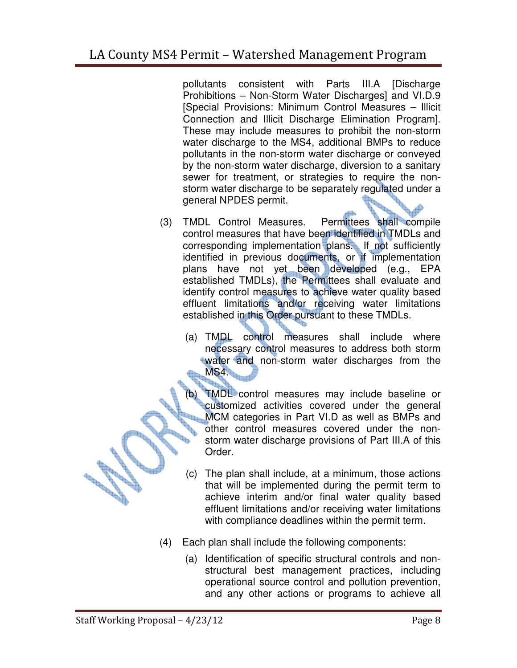pollutants consistent with Parts III.A [Discharge Prohibitions – Non-Storm Water Discharges] and VI.D.9 [Special Provisions: Minimum Control Measures – Illicit Connection and Illicit Discharge Elimination Program]. These may include measures to prohibit the non-storm water discharge to the MS4, additional BMPs to reduce pollutants in the non-storm water discharge or conveyed by the non-storm water discharge, diversion to a sanitary sewer for treatment, or strategies to require the nonstorm water discharge to be separately regulated under a general NPDES permit.

- (3) TMDL Control Measures. Permittees shall compile control measures that have been identified in TMDLs and corresponding implementation plans. If not sufficiently identified in previous documents, or if implementation plans have not yet been developed (e.g., EPA established TMDLs), the Permittees shall evaluate and identify control measures to achieve water quality based effluent limitations and/or receiving water limitations established in this Order pursuant to these TMDLs.
	- (a) TMDL control measures shall include where necessary control measures to address both storm water and non-storm water discharges from the **MS4.**

**TMDL** control measures may include baseline or customized activities covered under the general MCM categories in Part VI.D as well as BMPs and other control measures covered under the nonstorm water discharge provisions of Part III.A of this Order.

- (c) The plan shall include, at a minimum, those actions that will be implemented during the permit term to achieve interim and/or final water quality based effluent limitations and/or receiving water limitations with compliance deadlines within the permit term.
- (4) Each plan shall include the following components:
	- (a) Identification of specific structural controls and nonstructural best management practices, including operational source control and pollution prevention, and any other actions or programs to achieve all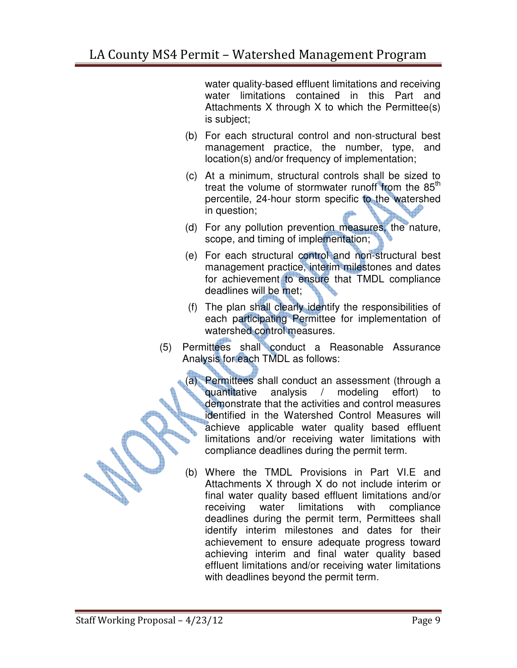water quality-based effluent limitations and receiving water limitations contained in this Part and Attachments X through X to which the Permittee(s) is subject;

- (b) For each structural control and non-structural best management practice, the number, type, and location(s) and/or frequency of implementation;
- (c) At a minimum, structural controls shall be sized to treat the volume of stormwater runoff from the 85<sup>th</sup> percentile, 24-hour storm specific to the watershed in question;
- (d) For any pollution prevention measures, the nature, scope, and timing of implementation;
- (e) For each structural control and non-structural best management practice, interim milestones and dates for achievement to ensure that TMDL compliance deadlines will be met;
- (f) The plan shall clearly identify the responsibilities of each participating Permittee for implementation of watershed control measures.
- (5) Permittees shall conduct a Reasonable Assurance Analysis for each TMDL as follows:

(a) Permittees shall conduct an assessment (through a quantitative analysis / modeling effort) to demonstrate that the activities and control measures identified in the Watershed Control Measures will achieve applicable water quality based effluent limitations and/or receiving water limitations with compliance deadlines during the permit term.

(b) Where the TMDL Provisions in Part VI.E and Attachments X through X do not include interim or final water quality based effluent limitations and/or receiving water limitations with compliance deadlines during the permit term, Permittees shall identify interim milestones and dates for their achievement to ensure adequate progress toward achieving interim and final water quality based effluent limitations and/or receiving water limitations with deadlines beyond the permit term.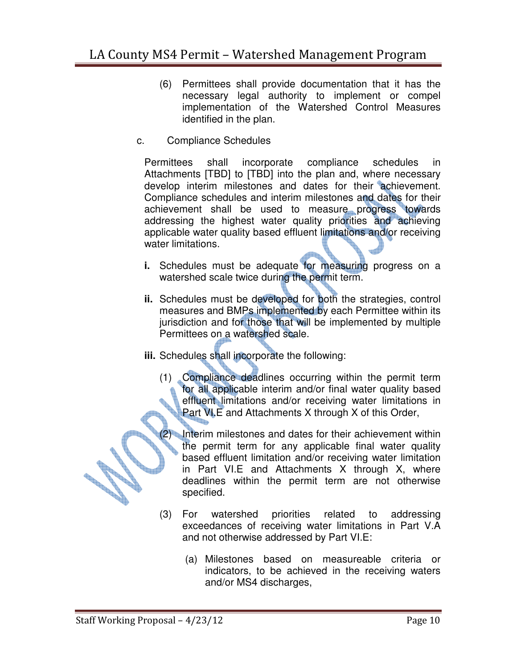- (6) Permittees shall provide documentation that it has the necessary legal authority to implement or compel implementation of the Watershed Control Measures identified in the plan.
- c. Compliance Schedules

Permittees shall incorporate compliance schedules in Attachments [TBD] to [TBD] into the plan and, where necessary develop interim milestones and dates for their achievement. Compliance schedules and interim milestones and dates for their achievement shall be used to measure progress towards addressing the highest water quality priorities and achieving applicable water quality based effluent limitations and/or receiving water limitations.

- **i.** Schedules must be adequate for measuring progress on a watershed scale twice during the permit term.
- **ii.** Schedules must be developed for both the strategies, control measures and BMPs implemented by each Permittee within its jurisdiction and for those that will be implemented by multiple Permittees on a watershed scale.
- **iii.** Schedules shall incorporate the following:
	- (1) Compliance deadlines occurring within the permit term for all applicable interim and/or final water quality based effluent limitations and/or receiving water limitations in Part VI.E and Attachments X through X of this Order,
		- Interim milestones and dates for their achievement within the permit term for any applicable final water quality based effluent limitation and/or receiving water limitation in Part VI.E and Attachments X through X, where deadlines within the permit term are not otherwise specified.
	- (3) For watershed priorities related to addressing exceedances of receiving water limitations in Part V.A and not otherwise addressed by Part VI.E:
		- (a) Milestones based on measureable criteria or indicators, to be achieved in the receiving waters and/or MS4 discharges,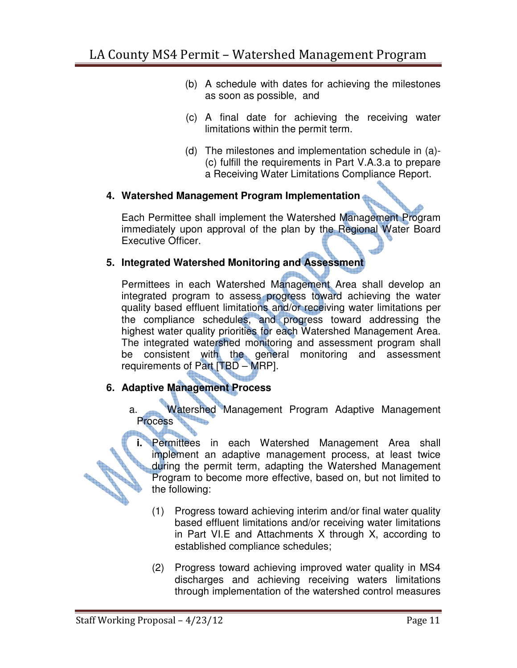- (b) A schedule with dates for achieving the milestones as soon as possible, and
- (c) A final date for achieving the receiving water limitations within the permit term.
- (d) The milestones and implementation schedule in (a)- (c) fulfill the requirements in Part V.A.3.a to prepare a Receiving Water Limitations Compliance Report.

### **4. Watershed Management Program Implementation**

Each Permittee shall implement the Watershed Management Program immediately upon approval of the plan by the Regional Water Board Executive Officer.

## **5. Integrated Watershed Monitoring and Assessment**

Permittees in each Watershed Management Area shall develop an integrated program to assess progress toward achieving the water quality based effluent limitations and/or receiving water limitations per the compliance schedules, and progress toward addressing the highest water quality priorities for each Watershed Management Area. The integrated watershed monitoring and assessment program shall be consistent with the general monitoring and assessment requirements of Part [TBD – MRP].

## **6. Adaptive Management Process**

a. Watershed Management Program Adaptive Management Process

**i.** Permittees in each Watershed Management Area shall implement an adaptive management process, at least twice during the permit term, adapting the Watershed Management Program to become more effective, based on, but not limited to the following:

- (1) Progress toward achieving interim and/or final water quality based effluent limitations and/or receiving water limitations in Part VI.E and Attachments X through X, according to established compliance schedules;
- (2) Progress toward achieving improved water quality in MS4 discharges and achieving receiving waters limitations through implementation of the watershed control measures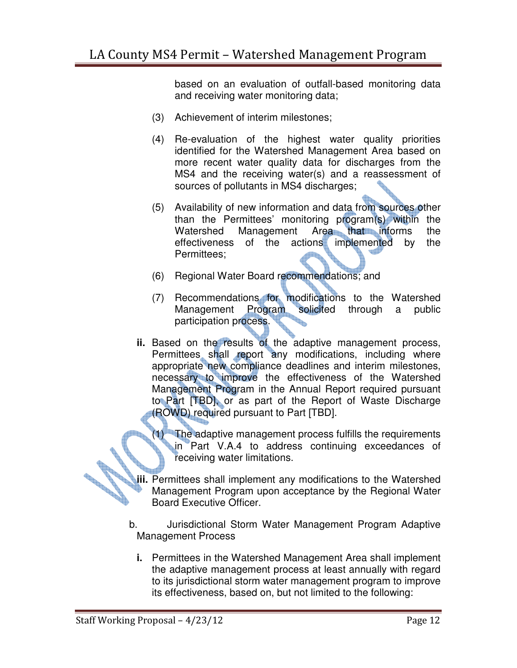based on an evaluation of outfall-based monitoring data and receiving water monitoring data;

- (3) Achievement of interim milestones;
- (4) Re-evaluation of the highest water quality priorities identified for the Watershed Management Area based on more recent water quality data for discharges from the MS4 and the receiving water(s) and a reassessment of sources of pollutants in MS4 discharges;
- (5) Availability of new information and data from sources other than the Permittees' monitoring program(s) within the Watershed Management Area that informs the effectiveness of the actions implemented by the Permittees;
- (6) Regional Water Board recommendations; and
- (7) Recommendations for modifications to the Watershed Management Program solicited through a public participation process.
- ii. Based on the results of the adaptive management process, Permittees shall report any modifications, including where appropriate new compliance deadlines and interim milestones, necessary to improve the effectiveness of the Watershed Management Program in the Annual Report required pursuant to Part [TBD], or as part of the Report of Waste Discharge (ROWD) required pursuant to Part [TBD].
	- (1) The adaptive management process fulfills the requirements in Part V.A.4 to address continuing exceedances of receiving water limitations.
- **iii.** Permittees shall implement any modifications to the Watershed Management Program upon acceptance by the Regional Water Board Executive Officer.
- b. Jurisdictional Storm Water Management Program Adaptive Management Process
	- **i.** Permittees in the Watershed Management Area shall implement the adaptive management process at least annually with regard to its jurisdictional storm water management program to improve its effectiveness, based on, but not limited to the following: